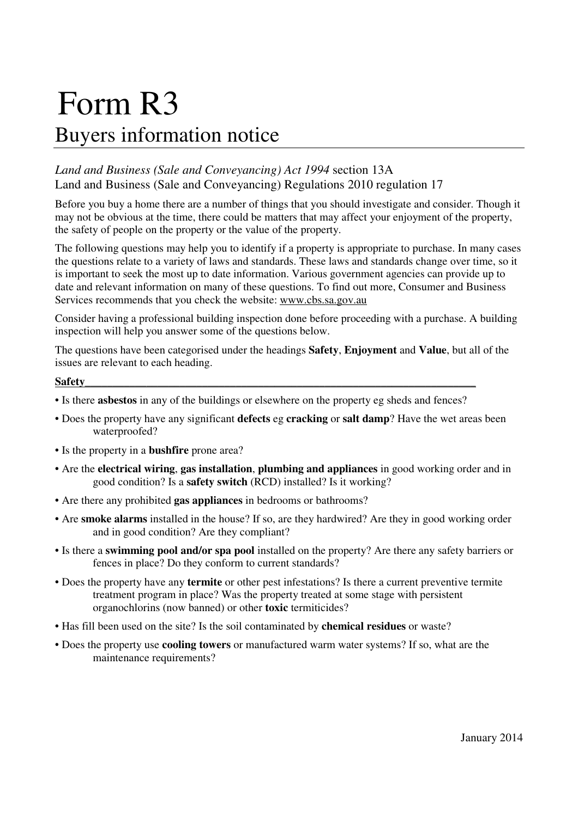# Form R3 Buyers information notice

# *Land and Business (Sale and Conveyancing) Act 1994* section 13A Land and Business (Sale and Conveyancing) Regulations 2010 regulation 17

Before you buy a home there are a number of things that you should investigate and consider. Though it may not be obvious at the time, there could be matters that may affect your enjoyment of the property, the safety of people on the property or the value of the property.

The following questions may help you to identify if a property is appropriate to purchase. In many cases the questions relate to a variety of laws and standards. These laws and standards change over time, so it is important to seek the most up to date information. Various government agencies can provide up to date and relevant information on many of these questions. To find out more, Consumer and Business Services recommends that you check the website: www.cbs.sa.gov.au

Consider having a professional building inspection done before proceeding with a purchase. A building inspection will help you answer some of the questions below.

The questions have been categorised under the headings **Safety**, **Enjoyment** and **Value**, but all of the issues are relevant to each heading.

#### **Safety**

- Is there **asbestos** in any of the buildings or elsewhere on the property eg sheds and fences?
- Does the property have any significant **defects** eg **cracking** or **salt damp**? Have the wet areas been waterproofed?
- Is the property in a **bushfire** prone area?
- Are the **electrical wiring**, **gas installation**, **plumbing and appliances** in good working order and in good condition? Is a **safety switch** (RCD) installed? Is it working?
- Are there any prohibited **gas appliances** in bedrooms or bathrooms?
- Are **smoke alarms** installed in the house? If so, are they hardwired? Are they in good working order and in good condition? Are they compliant?
- Is there a **swimming pool and/or spa pool** installed on the property? Are there any safety barriers or fences in place? Do they conform to current standards?
- Does the property have any **termite** or other pest infestations? Is there a current preventive termite treatment program in place? Was the property treated at some stage with persistent organochlorins (now banned) or other **toxic** termiticides?
- Has fill been used on the site? Is the soil contaminated by **chemical residues** or waste?
- Does the property use **cooling towers** or manufactured warm water systems? If so, what are the maintenance requirements?